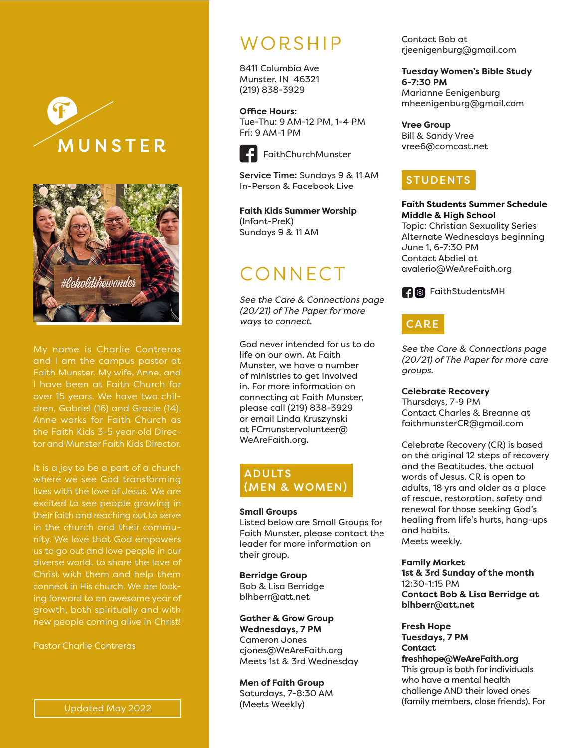



My name is Charlie Contreras Faith Munster. My wife, Anne, and I have been at Faith Church for over 15 years. We have two chil-Anne works for Faith Church as the Faith Kids 3-5 year old Director and Munster Faith Kids Director.

where we see God transforming lives with the love of Jesus. We are excited to see people growing in their faith and reaching out to serve in the church and their community. We love that God empowers us to go out and love people in our diverse world, to share the love of Christ with them and help them connect in His church. We are looking forward to an awesome year of growth, both spiritually and with

Pastor Charlie Contreras

# **WORSHIP**

8411 Columbia Ave Munster, IN 46321 (219) 838-3929

**Office Hours**: Tue-Thu: 9 AM-12 PM, 1-4 PM Fri: 9 AM-1 PM



### FaithChurchMunster

Service Time: Sundays 9 & 11 AM In-Person & Facebook Live

**Faith Kids Summer Worship**  (Infant-PreK) Sundays 9 & 11 AM

# CONNECT

*See the Care & Connections page (20/21) of The Paper for more ways to connect.*

God never intended for us to do life on our own. At Faith Munster, we have a number of ministries to get involved in. For more information on connecting at Faith Munster, please call (219) 838-3929 or email Linda Kruszynski at FCmunstervolunteer@ WeAreFaith.org.

### ADULTS (MEN & WOMEN)

#### **Small Groups**

Listed below are Small Groups for Faith Munster, please contact the leader for more information on their group.

**Berridge Group** Bob & Lisa Berridge blhberr@att.net

**Gather & Grow Group Wednesdays, 7 PM** Cameron Jones cjones@WeAreFaith.org Meets 1st & 3rd Wednesday

**Men of Faith Group** Saturdays, 7-8:30 AM (Meets Weekly)

Contact Bob at rjeenigenburg@gmail.com

**Tuesday Women's Bible Study 6-7:30 PM** Marianne Eenigenburg mheenigenburg@gmail.com

**Vree Group** Bill & Sandy Vree vree6@comcast.net

## **STUDENTS**

**Faith Students Summer Schedule Middle & High School**  Topic: Christian Sexuality Series Alternate Wednesdays beginning June 1, 6-7:30 PM Contact Abdiel at avalerio@WeAreFaith.org



## **CARE**

*See the Care & Connections page (20/21) of The Paper for more care groups.*

**Celebrate Recovery** 

Thursdays, 7-9 PM Contact Charles & Breanne at faithmunsterCR@gmail.com

Celebrate Recovery (CR) is based on the original 12 steps of recovery and the Beatitudes, the actual words of Jesus. CR is open to adults, 18 yrs and older as a place of rescue, restoration, safety and renewal for those seeking God's healing from life's hurts, hang-ups and habits. Meets weekly.

**Family Market**

**1st & 3rd Sunday of the month** 12:30-1:15 PM **Contact Bob & Lisa Berridge at blhberr@att.net**

**Fresh Hope Tuesdays, 7 PM Contact** 

**freshhope@WeAreFaith.org** This group is both for individuals who have a mental health challenge AND their loved ones (family members, close friends). For